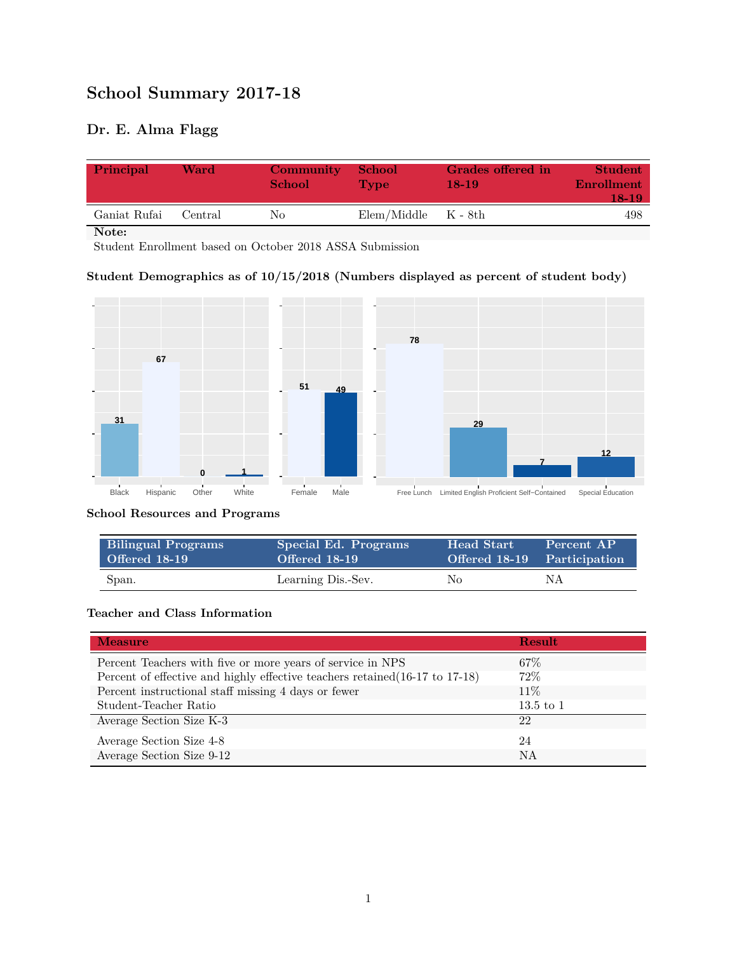# **School Summary 2017-18**

# **Dr. E. Alma Flagg**

| Principal    | Ward    | Community<br><b>School</b> | <b>School</b><br>Type   | Grades offered in<br>$18-19$ | <b>Student</b><br><b>Enrollment</b><br>$18-19$ |
|--------------|---------|----------------------------|-------------------------|------------------------------|------------------------------------------------|
| Ganiat Rufai | Central | Nο                         | $Elem/Middle$ $K - 8th$ |                              | 498                                            |

**Note:**

Student Enrollment based on October 2018 ASSA Submission

#### **Student Demographics as of 10/15/2018 (Numbers displayed as percent of student body)**



#### **School Resources and Programs**

| <b>Bilingual Programs</b> | Special Ed. Programs | <b>Head Start</b> | Percent AP                  |
|---------------------------|----------------------|-------------------|-----------------------------|
| Offered 18-19             | Offered 18-19        |                   | Offered 18-19 Participation |
| Span.                     | Learning Dis.-Sev.   | No.               | ΝA                          |

#### **Teacher and Class Information**

| <b>Measure</b>                                                               | <b>Result</b> |
|------------------------------------------------------------------------------|---------------|
| Percent Teachers with five or more years of service in NPS                   | $67\%$        |
| Percent of effective and highly effective teachers retained (16-17 to 17-18) | 72%           |
| Percent instructional staff missing 4 days or fewer                          | 11\%          |
| Student-Teacher Ratio                                                        | $13.5$ to $1$ |
| Average Section Size K-3                                                     | 22            |
| Average Section Size 4-8                                                     | 24            |
| Average Section Size 9-12                                                    | NA            |